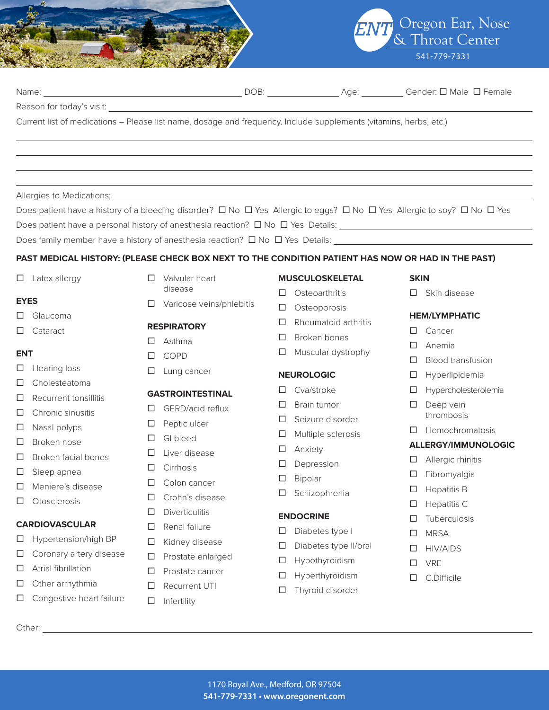



| Reason for today's visit:     |                                                  |                                                                                                                         |                               |
|-------------------------------|--------------------------------------------------|-------------------------------------------------------------------------------------------------------------------------|-------------------------------|
|                               |                                                  | Current list of medications - Please list name, dosage and frequency. Include supplements (vitamins, herbs, etc.)       |                               |
|                               |                                                  |                                                                                                                         |                               |
|                               |                                                  |                                                                                                                         |                               |
|                               |                                                  |                                                                                                                         |                               |
|                               |                                                  | ,我们也不会有什么。""我们的人,我们也不会有什么?""我们的人,我们也不会有什么?""我们的人,我们也不会有什么?""我们的人,我们也不会有什么?""我们的人                                        |                               |
|                               |                                                  | Does patient have a history of a bleeding disorder? □ No □ Yes Allergic to eggs? □ No □ Yes Allergic to soy? □ No □ Yes |                               |
|                               |                                                  |                                                                                                                         |                               |
|                               |                                                  | Does family member have a history of anesthesia reaction? $\Box$ No $\Box$ Yes Details:                                 |                               |
|                               |                                                  |                                                                                                                         |                               |
|                               |                                                  | PAST MEDICAL HISTORY: (PLEASE CHECK BOX NEXT TO THE CONDITION PATIENT HAS NOW OR HAD IN THE PAST)                       |                               |
| $\Box$ Latex allergy          | Valvular heart<br>□<br>disease                   | <b>MUSCULOSKELETAL</b>                                                                                                  | <b>SKIN</b>                   |
| <b>EYES</b>                   | Varicose veins/phlebitis<br>□                    | Osteoarthritis<br>□                                                                                                     | $\Box$ Skin disease           |
| Glaucoma<br>⊔                 |                                                  | Osteoporosis<br>ப                                                                                                       | <b>HEM/LYMPHATIC</b>          |
| Cataract<br>⊔                 | <b>RESPIRATORY</b>                               | Rheumatoid arthritis<br>□                                                                                               | Cancer<br>П                   |
|                               | Asthma<br>□                                      | Broken bones<br>ப                                                                                                       | Anemia<br>П                   |
| <b>ENT</b>                    | <b>COPD</b><br>□                                 | Muscular dystrophy<br>□                                                                                                 | <b>Blood transfusion</b><br>□ |
| Hearing loss<br>ш             | Lung cancer<br>□                                 | <b>NEUROLOGIC</b>                                                                                                       | Hyperlipidemia<br>⊔           |
| Cholesteatoma<br>⊔            |                                                  | Cva/stroke<br>□                                                                                                         | Hypercholesterolemia<br>□     |
| Recurrent tonsillitis<br>□    | <b>GASTROINTESTINAL</b><br>GERD/acid reflux<br>⊔ | Brain tumor<br>ப                                                                                                        | Deep vein<br>⊔                |
| Chronic sinusitis<br>⊔        |                                                  | Seizure disorder<br>⊔                                                                                                   | thrombosis                    |
| Nasal polyps<br>□             | Peptic ulcer<br>⊔                                | Multiple sclerosis<br>⊔                                                                                                 | Hemochromatosis<br>L I        |
| Broken nose<br>⊔              | GI bleed<br>□                                    | Anxiety<br>□                                                                                                            | <b>ALLERGY/IMMUNOLOGIC</b>    |
| Broken facial bones<br>□      | Liver disease<br>ப                               | Depression<br>ப                                                                                                         | Allergic rhinitis<br>ப        |
| Sleep apnea<br>⊔              | Cirrhosis<br>⊔                                   | Bipolar<br>□                                                                                                            | Fibromyalgia<br>⊔             |
| Meniere's disease<br>□        | Colon cancer                                     | Schizophrenia<br>□                                                                                                      | <b>Hepatitis B</b><br>□       |
| Otosclerosis<br>$\Box$        | □<br>Crohn's disease                             |                                                                                                                         | $\Box$ Hepatitis C            |
| <b>CARDIOVASCULAR</b>         | Diverticulitis<br>□                              | <b>ENDOCRINE</b>                                                                                                        | Tuberculosis<br>□             |
| Hypertension/high BP<br>⊔     | Renal failure<br>□                               | □<br>Diabetes type I                                                                                                    | <b>MRSA</b><br>□              |
| Coronary artery disease<br>□  | Kidney disease<br>□                              | $\Box$<br>Diabetes type II/oral                                                                                         | <b>HIV/AIDS</b><br>□          |
| Atrial fibrillation<br>⊔      | Prostate enlarged<br>□                           | Hypothyroidism<br>$\Box$                                                                                                | <b>VRE</b><br>□               |
| Other arrhythmia<br>⊔         | Prostate cancer<br>□                             | Hyperthyroidism<br>□                                                                                                    | C.Difficile<br>□              |
| Congestive heart failure<br>ப | Recurrent UTI<br>□                               | Thyroid disorder<br>□                                                                                                   |                               |
|                               | Infertility<br>□                                 |                                                                                                                         |                               |
|                               |                                                  |                                                                                                                         |                               |
|                               |                                                  |                                                                                                                         |                               |
|                               |                                                  |                                                                                                                         |                               |
|                               |                                                  |                                                                                                                         |                               |
|                               |                                                  | 1170 Royal Ave., Medford, OR 97504                                                                                      |                               |
|                               |                                                  | 541-779-7331 · www.oregonent.com                                                                                        |                               |
|                               |                                                  |                                                                                                                         |                               |

Name: DOB: Age: Gender: ¨ Male ¨ Female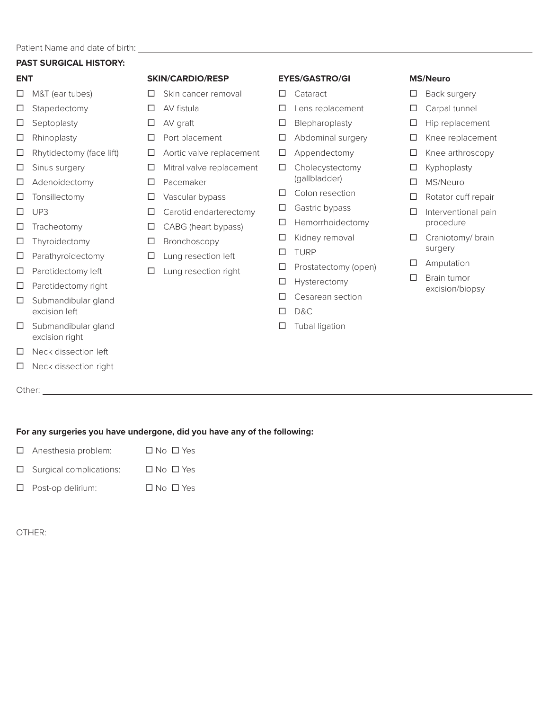#### **PAST SURGICAL HISTORY:**

#### **ENT**

- $\Box$  M&T (ear tubes)
- □ Stapedectomy
- $\square$  Septoplasty
- □ Rhinoplasty
- $\Box$  Rhytidectomy (face lift)
- $\square$  Sinus surgery
- $\square$  Adenoidectomy
- $\square$  Tonsillectomy
- ¨ UP3
- $\square$  Tracheotomy
- $\square$  Thyroidectomy
- $\square$  Parathyroidectomy
- $\square$  Parotidectomy left
- $\square$  Parotidectomy right
- $\square$  Submandibular gland excision left
- $\square$  Submandibular gland excision right
- $\square$  Neck dissection left
- $\square$  Neck dissection right

Other: **Other: Other: Other: Other: Other: Other: Other: Other: Other: Other: Other: Other: Other: Other: Other: Other: Other: Other: Other: Other: Other: Other: Other: Other:** 

#### **SKIN/CARDIO/RESP**

- $\square$  Skin cancer removal
- $\square$  AV fistula
- $\square$  AV graft
- $\square$  Port placement
- $\square$  Aortic valve replacement
- $\Box$  Mitral valve replacement
- □ Pacemaker
- $\square$  Vascular bypass
- $\Box$  Carotid endarterectomy
- $\Box$  CABG (heart bypass)
- $\square$  Bronchoscopy
- $\square$  Lung resection left
- $\square$  Lung resection right

# **EYES/GASTRO/GI**

- □ Cataract
- $\square$  Lens replacement
- $\square$  Blepharoplasty
- $\square$  Abdominal surgery
- $\square$  Appendectomy
- $\square$  Cholecystectomy (gallbladder)
- $\square$  Colon resection
- $\square$  Gastric bypass
- $\square$  Hemorrhoidectomy
- $\square$  Kidney removal
- □ TURP
- $\Box$  Prostatectomy (open)
- $\square$  Hysterectomy
- $\square$  Cesarean section
- ¨ D&C
- $\square$  Tubal ligation

# **MS/Neuro**

- $\square$  Back surgery
- $\square$  Carpal tunnel
- $\square$  Hip replacement
- $\square$  Knee replacement
- $\square$  Knee arthroscopy
- $\square$  Kyphoplasty
- □ MS/Neuro
- $\Box$  Rotator cuff repair
- $\square$  Interventional pain procedure
- $\Box$  Craniotomy/ brain surgery
- $\square$  Amputation
- $\square$  Brain tumor excision/biopsy

**For any surgeries you have undergone, did you have any of the following:**

- $\Box$  Anesthesia problem:  $\Box$  No  $\Box$  Yes
- $\square$  Surgical complications:  $\square$  No  $\square$  Yes
- □ Post-op delirium: □ No □ Yes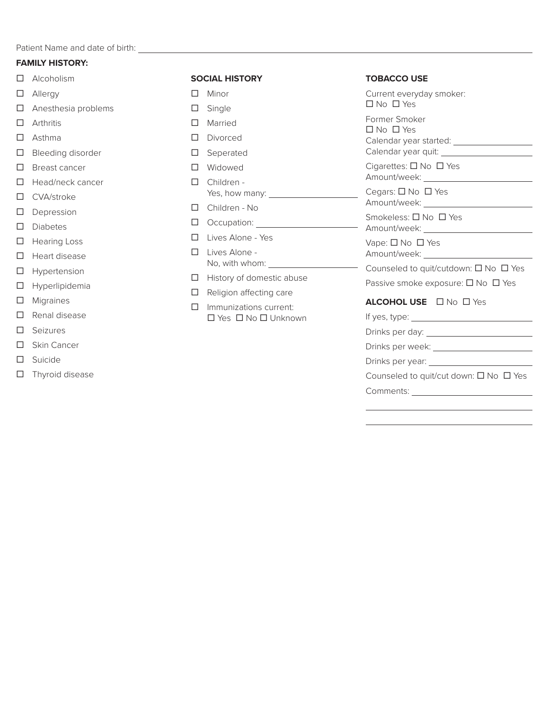Patient Name and date of birth: <u>with and the same of the same of the same</u>

# **FAMILY HISTORY:**

- $\square$  Alcoholism
- □ Allergy
- $\Box$  Anesthesia problems
- $\square$  Arthritis
- $\square$  Asthma
- $\square$  Bleeding disorder
- □ Breast cancer
- $\Box$  Head/neck cancer
- □ CVA/stroke
- □ Depression
- □ Diabetes
- □ Hearing Loss
- $\square$  Heart disease
- $\square$  Hypertension
- $\square$  Hyperlipidemia
- □ Migraines
- $\square$  Renal disease
- □ Seizures
- □ Skin Cancer
- □ Suicide
- $\square$  Thyroid disease

# **SOCIAL HISTORY**

- $\square$  Minor
- $\square$  Single
- □ Married
- □ Divorced
- □ Seperated
- □ Widowed
- □ Children -
- Yes, how many: □ Children - No
- $\Box$  Occupation:
- □ Lives Alone Yes
- □ Lives Alone -No, with whom:
- $\Box$  History of domestic abuse
- $\Box$  Religion affecting care
- $\square$  Immunizations current:  $\square$  Yes  $\square$  No  $\square$  Unknown

### **TOBACCO USE**

Current everyday smoker: ¨ No ¨ Yes Former Smoker ¨ No ¨ Yes Calendar year started: Calendar year quit:

Cigarettes:  $\square$  No  $\square$  Yes Amount/week:

Cegars:  $\square$  No  $\square$  Yes Amount/week: \_\_\_\_\_\_\_

Smokeless: □ No □ Yes

Amount/week: Vape:  $\square$  No  $\square$  Yes

Amount/week: \_\_\_\_\_\_\_

 $\overline{\phantom{0}}$ 

Counseled to quit/cutdown:  $\square$  No  $\square$  Yes

Passive smoke exposure:  $\square$  No  $\square$  Yes

# **ALCOHOL USE** □ No □ Yes

If yes, type:

Drinks per day:

Drinks per week:

Drinks per year:

Counseled to quit/cut down:  $\square$  No  $\square$  Yes

Comments: